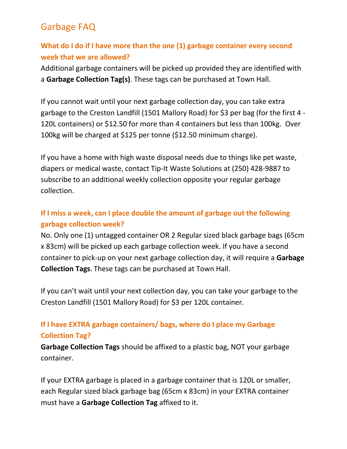### **What do I do if I have more than the one (1) garbage container every second week that we are allowed?**

Additional garbage containers will be picked up provided they are identified with a **Garbage Collection Tag(s)**. These tags can be purchased at Town Hall.

If you cannot wait until your next garbage collection day, you can take extra garbage to the Creston Landfill (1501 Mallory Road) for \$3 per bag (for the first 4 - 120L containers) or \$12.50 for more than 4 containers but less than 100kg. Over 100kg will be charged at \$125 per tonne (\$12.50 minimum charge).

If you have a home with high waste disposal needs due to things like pet waste, diapers or medical waste, contact Tip-It Waste Solutions at (250) 428-9887 to subscribe to an additional weekly collection opposite your regular garbage collection.

### **If I miss a week, can I place double the amount of garbage out the following garbage collection week?**

No. Only one (1) untagged container OR 2 Regular sized black garbage bags (65cm x 83cm) will be picked up each garbage collection week. If you have a second container to pick-up on your next garbage collection day, it will require a **Garbage Collection Tags**. These tags can be purchased at Town Hall.

If you can't wait until your next collection day, you can take your garbage to the Creston Landfill (1501 Mallory Road) for \$3 per 120L container.

### **If I have EXTRA garbage containers/ bags, where do I place my Garbage Collection Tag?**

**Garbage Collection Tags** should be affixed to a plastic bag, NOT your garbage container.

If your EXTRA garbage is placed in a garbage container that is 120L or smaller, each Regular sized black garbage bag (65cm x 83cm) in your EXTRA container must have a **Garbage Collection Tag** affixed to it.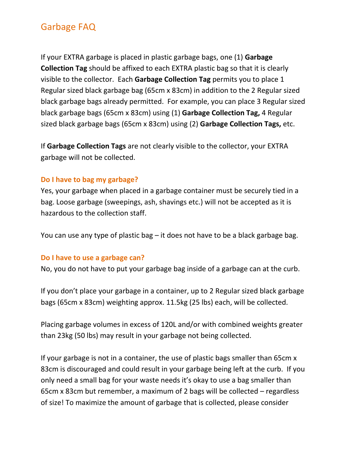If your EXTRA garbage is placed in plastic garbage bags, one (1) **Garbage Collection Tag** should be affixed to each EXTRA plastic bag so that it is clearly visible to the collector. Each **Garbage Collection Tag** permits you to place 1 Regular sized black garbage bag (65cm x 83cm) in addition to the 2 Regular sized black garbage bags already permitted. For example, you can place 3 Regular sized black garbage bags (65cm x 83cm) using (1) **Garbage Collection Tag,** 4 Regular sized black garbage bags (65cm x 83cm) using (2) **Garbage Collection Tags,** etc.

If **Garbage Collection Tags** are not clearly visible to the collector, your EXTRA garbage will not be collected.

#### **Do I have to bag my garbage?**

Yes, your garbage when placed in a garbage container must be securely tied in a bag. Loose garbage (sweepings, ash, shavings etc.) will not be accepted as it is hazardous to the collection staff.

You can use any type of plastic bag – it does not have to be a black garbage bag.

#### **Do I have to use a garbage can?**

No, you do not have to put your garbage bag inside of a garbage can at the curb.

If you don't place your garbage in a container, up to 2 Regular sized black garbage bags (65cm x 83cm) weighting approx. 11.5kg (25 lbs) each, will be collected.

Placing garbage volumes in excess of 120L and/or with combined weights greater than 23kg (50 lbs) may result in your garbage not being collected.

If your garbage is not in a container, the use of plastic bags smaller than 65cm x 83cm is discouraged and could result in your garbage being left at the curb. If you only need a small bag for your waste needs it's okay to use a bag smaller than 65cm x 83cm but remember, a maximum of 2 bags will be collected – regardless of size! To maximize the amount of garbage that is collected, please consider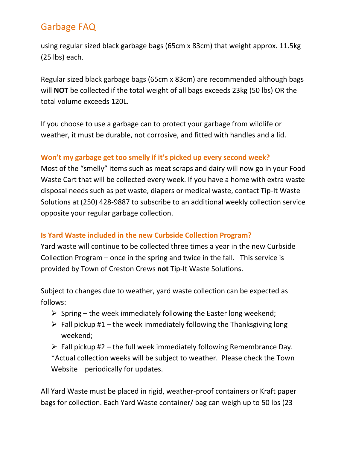using regular sized black garbage bags (65cm x 83cm) that weight approx. 11.5kg (25 lbs) each.

Regular sized black garbage bags (65cm x 83cm) are recommended although bags will **NOT** be collected if the total weight of all bags exceeds 23kg (50 lbs) OR the total volume exceeds 120L.

If you choose to use a garbage can to protect your garbage from wildlife or weather, it must be durable, not corrosive, and fitted with handles and a lid.

### **Won't my garbage get too smelly if it's picked up every second week?**

Most of the "smelly" items such as meat scraps and dairy will now go in your Food Waste Cart that will be collected every week. If you have a home with extra waste disposal needs such as pet waste, diapers or medical waste, contact Tip-It Waste Solutions at (250) 428-9887 to subscribe to an additional weekly collection service opposite your regular garbage collection.

### **Is Yard Waste included in the new Curbside Collection Program?**

Yard waste will continue to be collected three times a year in the new Curbside Collection Program – once in the spring and twice in the fall. This service is provided by Town of Creston Crews **not** Tip-It Waste Solutions.

Subject to changes due to weather, yard waste collection can be expected as follows:

- $\triangleright$  Spring the week immediately following the Easter long weekend;
- $\triangleright$  Fall pickup #1 the week immediately following the Thanksgiving long weekend;

 $\triangleright$  Fall pickup #2 – the full week immediately following Remembrance Day. \*Actual collection weeks will be subject to weather. Please check the Town Website periodically for updates.

All Yard Waste must be placed in rigid, weather-proof containers or Kraft paper bags for collection. Each Yard Waste container/ bag can weigh up to 50 lbs (23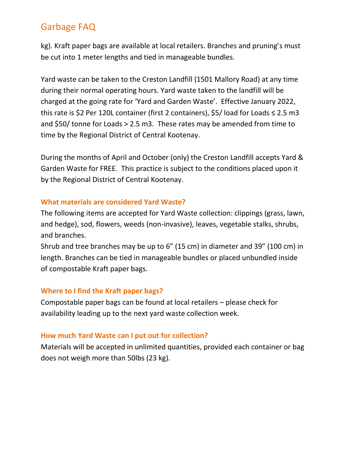kg). Kraft paper bags are available at local retailers. Branches and pruning's must be cut into 1 meter lengths and tied in manageable bundles.

Yard waste can be taken to the Creston Landfill (1501 Mallory Road) at any time during their normal operating hours. Yard waste taken to the landfill will be charged at the going rate for 'Yard and Garden Waste'. Effective January 2022, this rate is \$2 Per 120L container (first 2 containers), \$5/ load for Loads ≤ 2.5 m3 and \$50/ tonne for Loads > 2.5 m3. These rates may be amended from time to time by the Regional District of Central Kootenay.

During the months of April and October (only) the Creston Landfill accepts Yard & Garden Waste for FREE. This practice is subject to the conditions placed upon it by the Regional District of Central Kootenay.

#### **What materials are considered Yard Waste?**

The following items are accepted for Yard Waste collection: clippings (grass, lawn, and hedge), sod, flowers, weeds (non-invasive), leaves, vegetable stalks, shrubs, and branches.

Shrub and tree branches may be up to 6" (15 cm) in diameter and 39" (100 cm) in length. Branches can be tied in manageable bundles or placed unbundled inside of compostable Kraft paper bags.

#### **Where to I find the Kraft paper bags?**

Compostable paper bags can be found at local retailers – please check for availability leading up to the next yard waste collection week.

#### **How much Yard Waste can I put out for collection?**

Materials will be accepted in unlimited quantities, provided each container or bag does not weigh more than 50lbs (23 kg).